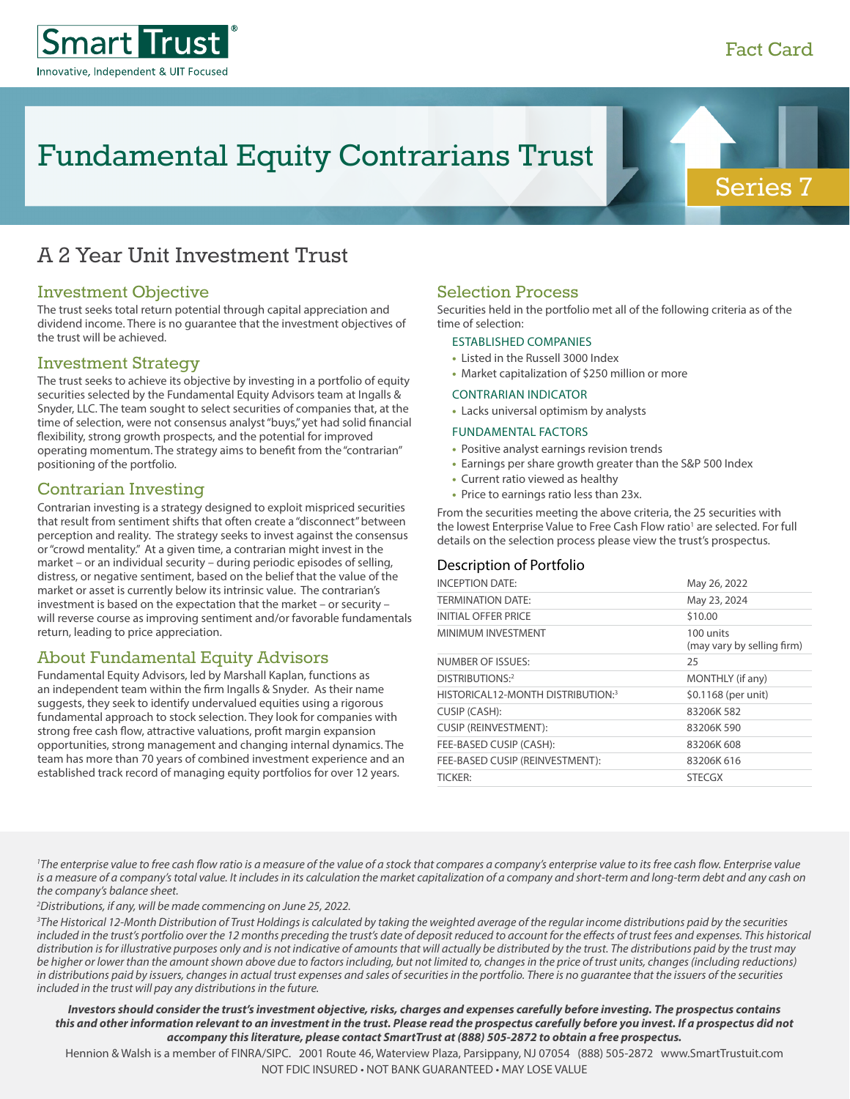

# A 2 Year Unit Investment Trust

## Investment Objective

The trust seeks total return potential through capital appreciation and dividend income. There is no guarantee that the investment objectives of the trust will be achieved.

## Investment Strategy

The trust seeks to achieve its objective by investing in a portfolio of equity securities selected by the Fundamental Equity Advisors team at Ingalls & Snyder, LLC. The team sought to select securities of companies that, at the time of selection, were not consensus analyst "buys," yet had solid financial flexibility, strong growth prospects, and the potential for improved operating momentum. The strategy aims to benefit from the "contrarian" positioning of the portfolio.

## Contrarian Investing

Contrarian investing is a strategy designed to exploit mispriced securities that result from sentiment shifts that often create a "disconnect" between perception and reality. The strategy seeks to invest against the consensus or "crowd mentality." At a given time, a contrarian might invest in the market – or an individual security – during periodic episodes of selling, distress, or negative sentiment, based on the belief that the value of the market or asset is currently below its intrinsic value. The contrarian's investment is based on the expectation that the market – or security – will reverse course as improving sentiment and/or favorable fundamentals return, leading to price appreciation.

## About Fundamental Equity Advisors

Fundamental Equity Advisors, led by Marshall Kaplan, functions as an independent team within the firm Ingalls & Snyder. As their name suggests, they seek to identify undervalued equities using a rigorous fundamental approach to stock selection. They look for companies with strong free cash flow, attractive valuations, profit margin expansion opportunities, strong management and changing internal dynamics. The team has more than 70 years of combined investment experience and an established track record of managing equity portfolios for over 12 years.

## Selection Process

Securities held in the portfolio met all of the following criteria as of the time of selection:

#### ESTABLISHED COMPANIES

- **•** Listed in the Russell 3000 Index
- **•** Market capitalization of \$250 million or more

#### CONTRARIAN INDICATOR

**•** Lacks universal optimism by analysts

#### FUNDAMENTAL FACTORS

- **•** Positive analyst earnings revision trends
- **•** Earnings per share growth greater than the S&P 500 Index
- **•** Current ratio viewed as healthy
- **•** Price to earnings ratio less than 23x.

From the securities meeting the above criteria, the 25 securities with the lowest Enterprise Value to Free Cash Flow ratio<sup>1</sup> are selected. For full details on the selection process please view the trust's prospectus.

### Description of Portfolio

| <b>INCEPTION DATE:</b>            | May 26, 2022                            |
|-----------------------------------|-----------------------------------------|
| <b>TERMINATION DATE:</b>          | May 23, 2024                            |
| <b>INITIAL OFFER PRICE</b>        | \$10.00                                 |
| MINIMUM INVESTMENT                | 100 units<br>(may vary by selling firm) |
| <b>NUMBER OF ISSUES:</b>          | 25                                      |
| DISTRIBUTIONS:2                   | MONTHLY (if any)                        |
| HISTORICAL12-MONTH DISTRIBUTION:3 | \$0.1168 (per unit)                     |
| CUSIP (CASH):                     | 83206K 582                              |
| <b>CUSIP (REINVESTMENT):</b>      | 83206K 590                              |
| FEE-BASED CUSIP (CASH):           | 83206K 608                              |
| FEE-BASED CUSIP (REINVESTMENT):   | 83206K 616                              |
| <b>TICKER:</b>                    | <b>STECGX</b>                           |

<sup>1</sup>The enterprise value to free cash flow ratio is a measure of the value of a stock that compares a company's enterprise value to its free cash flow. Enterprise value is a measure of a company's total value. It includes in its calculation the market capitalization of a company and short-term and long-term debt and any cash on *the company's balance sheet.*

*2 Distributions, if any, will be made commencing on June 25, 2022.* 

*3 The Historical 12-Month Distribution of Trust Holdings is calculated by taking the weighted average of the regular income distributions paid by the securities*  included in the trust's portfolio over the 12 months preceding the trust's date of deposit reduced to account for the effects of trust fees and expenses. This historical distribution is for illustrative purposes only and is not indicative of amounts that will actually be distributed by the trust. The distributions paid by the trust may *be higher or lower than the amount shown above due to factors including, but not limited to, changes in the price of trust units, changes (including reductions) in distributions paid by issuers, changes in actual trust expenses and sales of securities in the portfolio. There is no guarantee that the issuers of the securities included in the trust will pay any distributions in the future.*

*Investors should consider the trust's investment objective, risks, charges and expenses carefully before investing. The prospectus contains this and other information relevant to an investment in the trust. Please read the prospectus carefully before you invest. If a prospectus did not accompany this literature, please contact SmartTrust at (888) 505-2872 to obtain a free prospectus.*

Hennion & Walsh is a member of FINRA/SIPC. 2001 Route 46, Waterview Plaza, Parsippany, NJ 07054 (888) 505-2872 www.SmartTrustuit.com NOT FDIC INSURED • NOT BANK GUARANTEED • MAY LOSE VALUE

Series 7